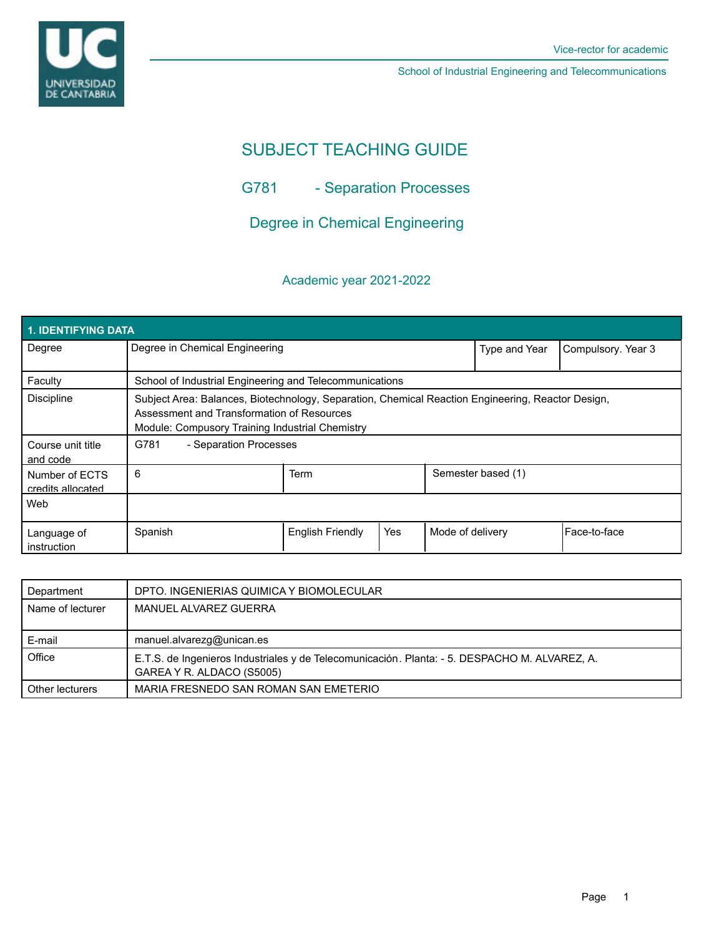

# SUBJECT TEACHING GUIDE

G781 - Separation Processes

Degree in Chemical Engineering

# Academic year 2021-2022

| <b>1. IDENTIFYING DATA</b>          |                                                                                                                                                                                                    |                         |     |                  |                    |                    |  |  |  |
|-------------------------------------|----------------------------------------------------------------------------------------------------------------------------------------------------------------------------------------------------|-------------------------|-----|------------------|--------------------|--------------------|--|--|--|
| Degree                              | Degree in Chemical Engineering                                                                                                                                                                     |                         |     |                  | Type and Year      | Compulsory. Year 3 |  |  |  |
| Faculty                             | School of Industrial Engineering and Telecommunications                                                                                                                                            |                         |     |                  |                    |                    |  |  |  |
| <b>Discipline</b>                   | Subject Area: Balances, Biotechnology, Separation, Chemical Reaction Engineering, Reactor Design,<br>Assessment and Transformation of Resources<br>Module: Compusory Training Industrial Chemistry |                         |     |                  |                    |                    |  |  |  |
| Course unit title<br>and code       | G781<br>- Separation Processes                                                                                                                                                                     |                         |     |                  |                    |                    |  |  |  |
| Number of ECTS<br>credits allocated | 6                                                                                                                                                                                                  | Term                    |     |                  | Semester based (1) |                    |  |  |  |
| Web                                 |                                                                                                                                                                                                    |                         |     |                  |                    |                    |  |  |  |
| Language of<br>instruction          | Spanish                                                                                                                                                                                            | <b>English Friendly</b> | Yes | Mode of delivery |                    | Face-to-face       |  |  |  |

| Department       | DPTO. INGENIERIAS QUIMICA Y BIOMOLECULAR                                                                                   |
|------------------|----------------------------------------------------------------------------------------------------------------------------|
| Name of lecturer | MANUEL ALVAREZ GUERRA                                                                                                      |
|                  |                                                                                                                            |
| E-mail           | manuel.alvarezg@unican.es                                                                                                  |
| Office           | E.T.S. de Ingenieros Industriales y de Telecomunicación. Planta: - 5. DESPACHO M. ALVAREZ, A.<br>GAREA Y R. ALDACO (S5005) |
| Other lecturers  | MARIA FRESNEDO SAN ROMAN SAN EMETERIO                                                                                      |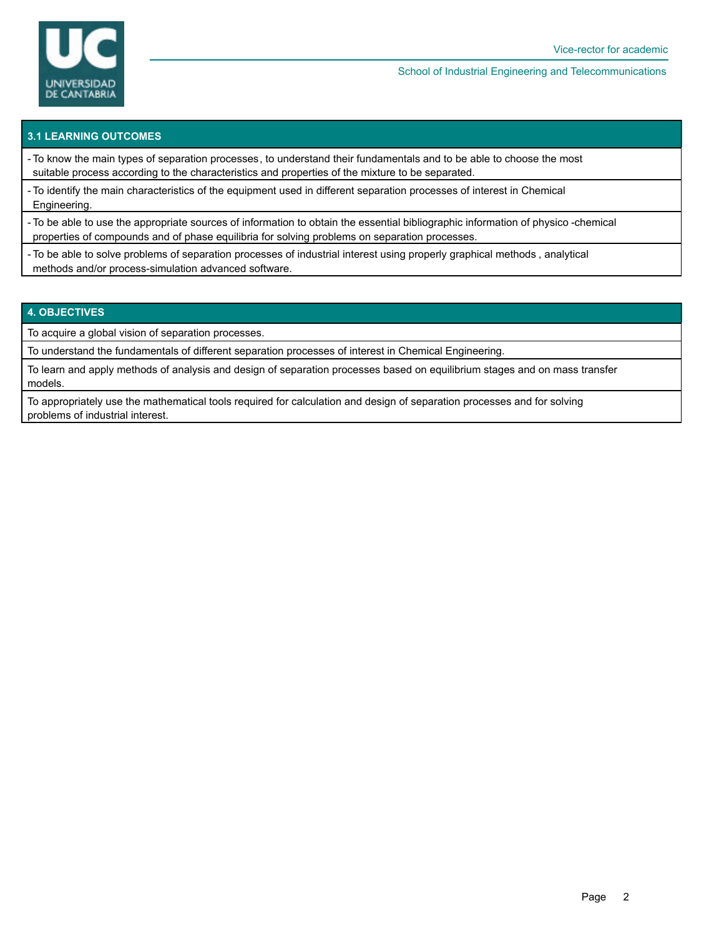

# **3.1 LEARNING OUTCOMES**

- To know the main types of separation processes, to understand their fundamentals and to be able to choose the most suitable process according to the characteristics and properties of the mixture to be separated.

- To identify the main characteristics of the equipment used in different separation processes of interest in Chemical Engineering.

- To be able to use the appropriate sources of information to obtain the essential bibliographic information of physico -chemical properties of compounds and of phase equilibria for solving problems on separation processes.

- To be able to solve problems of separation processes of industrial interest using properly graphical methods , analytical methods and/or process-simulation advanced software.

### **4. OBJECTIVES**

To acquire a global vision of separation processes.

To understand the fundamentals of different separation processes of interest in Chemical Engineering.

To learn and apply methods of analysis and design of separation processes based on equilibrium stages and on mass transfer models.

To appropriately use the mathematical tools required for calculation and design of separation processes and for solving problems of industrial interest.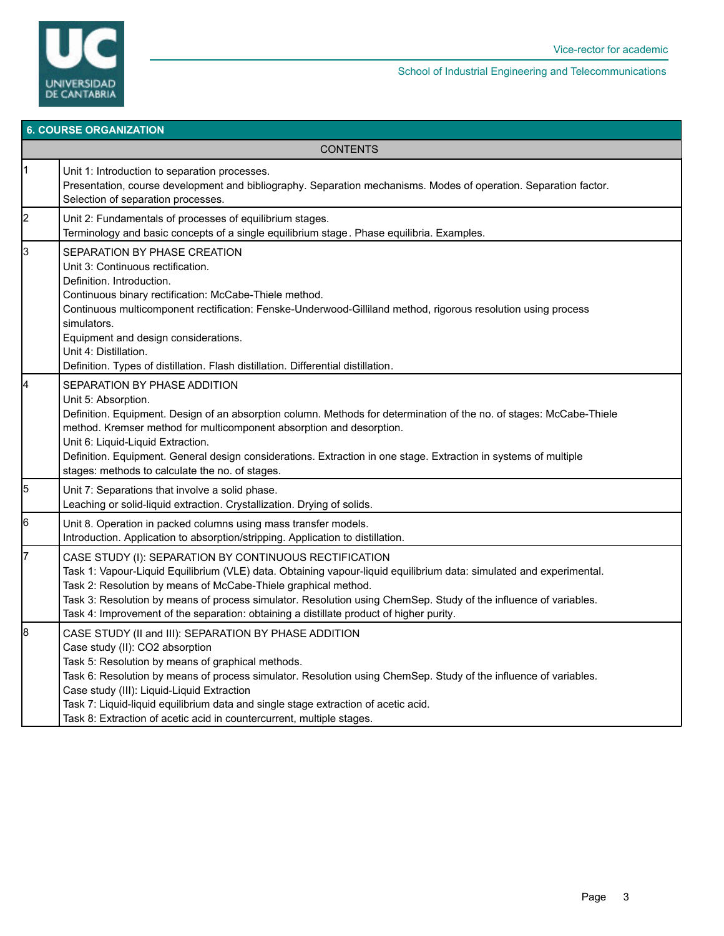

| <b>6. COURSE ORGANIZATION</b> |                                                                                                                                                                                                                                                                                                                                                                                                                                                                                |  |  |  |  |
|-------------------------------|--------------------------------------------------------------------------------------------------------------------------------------------------------------------------------------------------------------------------------------------------------------------------------------------------------------------------------------------------------------------------------------------------------------------------------------------------------------------------------|--|--|--|--|
| <b>CONTENTS</b>               |                                                                                                                                                                                                                                                                                                                                                                                                                                                                                |  |  |  |  |
| $\vert$ 1                     | Unit 1: Introduction to separation processes.<br>Presentation, course development and bibliography. Separation mechanisms. Modes of operation. Separation factor.<br>Selection of separation processes.                                                                                                                                                                                                                                                                        |  |  |  |  |
| 2                             | Unit 2: Fundamentals of processes of equilibrium stages.<br>Terminology and basic concepts of a single equilibrium stage . Phase equilibria. Examples.                                                                                                                                                                                                                                                                                                                         |  |  |  |  |
| 3                             | SEPARATION BY PHASE CREATION<br>Unit 3: Continuous rectification.<br>Definition. Introduction.<br>Continuous binary rectification: McCabe-Thiele method.<br>Continuous multicomponent rectification: Fenske-Underwood-Gilliland method, rigorous resolution using process<br>simulators.<br>Equipment and design considerations.<br>Unit 4: Distillation.<br>Definition. Types of distillation. Flash distillation. Differential distillation.                                 |  |  |  |  |
| 4                             | SEPARATION BY PHASE ADDITION<br>Unit 5: Absorption.<br>Definition. Equipment. Design of an absorption column. Methods for determination of the no. of stages: McCabe-Thiele<br>method. Kremser method for multicomponent absorption and desorption.<br>Unit 6: Liquid-Liquid Extraction.<br>Definition. Equipment. General design considerations. Extraction in one stage. Extraction in systems of multiple<br>stages: methods to calculate the no. of stages.                |  |  |  |  |
| 5                             | Unit 7: Separations that involve a solid phase.<br>Leaching or solid-liquid extraction. Crystallization. Drying of solids.                                                                                                                                                                                                                                                                                                                                                     |  |  |  |  |
| 6                             | Unit 8. Operation in packed columns using mass transfer models.<br>Introduction. Application to absorption/stripping. Application to distillation.                                                                                                                                                                                                                                                                                                                             |  |  |  |  |
| 7                             | CASE STUDY (I): SEPARATION BY CONTINUOUS RECTIFICATION<br>Task 1: Vapour-Liquid Equilibrium (VLE) data. Obtaining vapour-liquid equilibrium data: simulated and experimental.<br>Task 2: Resolution by means of McCabe-Thiele graphical method.<br>Task 3: Resolution by means of process simulator. Resolution using ChemSep. Study of the influence of variables.<br>Task 4: Improvement of the separation: obtaining a distillate product of higher purity.                 |  |  |  |  |
| 8                             | CASE STUDY (II and III): SEPARATION BY PHASE ADDITION<br>Case study (II): CO2 absorption<br>Task 5: Resolution by means of graphical methods.<br>Task 6: Resolution by means of process simulator. Resolution using ChemSep. Study of the influence of variables.<br>Case study (III): Liquid-Liquid Extraction<br>Task 7: Liquid-liquid equilibrium data and single stage extraction of acetic acid.<br>Task 8: Extraction of acetic acid in countercurrent, multiple stages. |  |  |  |  |